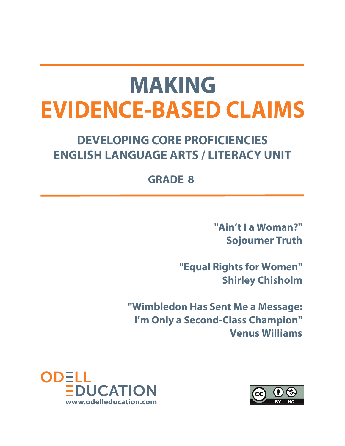## **MAKING EVIDENCE-BASED CLAIMS**

### **DEVELOPING CORE PROFICIENCIES ENGLISH LANGUAGE ARTS / LITERACY UNIT**

### **GRADE 8**

**"Ain't I a Woman?" Sojourner Truth** 

**"Equal Rights for Women" Shirley Chisholm** 

**"Wimbledon Has Sent Me a Message: I'm Only a Second-Class Champion" Venus Williams**



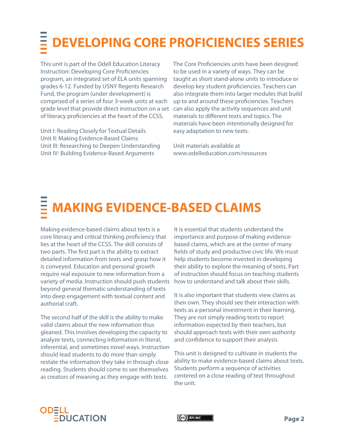## **DEVELOPING CORE PROFICIENCIES SERIES**

This unit is part of the Odell Education Literacy Instruction: Developing Core Proficiencies program, an integrated set of ELA units spanning grades 6-12. Funded by USNY Regents Research Fund, the program (under development) is comprised of a series of four 3-week units at each grade level that provide direct instruction on a set of literacy proficiencies at the heart of the CCSS.

Unit I: Reading Closely for Textual Details Unit II: Making Evidence-Based Claims Unit III: Researching to Deepen Understanding Unit IV: Building Evidence-Based Arguments

The Core Proficiencies units have been designed to be used in a variety of ways. They can be taught as short stand-alone units to introduce or develop key student proficiencies. Teachers can also integrate them into larger modules that build up to and around these proficiencies. Teachers can also apply the activity sequences and unit materials to different texts and topics. The materials have been intentionally designed for easy adaptation to new texts.

Unit materials available at www.odelleducation.com/resources

## **MAKING EVIDENCE-BASED CLAIMS**

Making evidence-based claims about texts is a core literacy and critical thinking proficiency that lies at the heart of the CCSS. The skill consists of two parts. The first part is the ability to extract detailed information from texts and grasp how it is conveyed. Education and personal growth require real exposure to new information from a variety of media. Instruction should push students beyond general thematic understanding of texts into deep engagement with textual content and authorial craft.

The second half of the skill is the ability to make valid claims about the new information thus gleaned. This involves developing the capacity to analyze texts, connecting information in literal, inferential, and sometimes novel ways. Instruction should lead students to do more than simply restate the information they take in through close reading. Students should come to see themselves as creators of meaning as they engage with texts.

It is essential that students understand the importance and purpose of making evidencebased claims, which are at the center of many fields of study and productive civic life. We must help students become invested in developing their ability to explore the meaning of texts. Part of instruction should focus on teaching students how to understand and talk about their skills.

It is also important that students view claims as their own. They should see their interaction with texts as a personal investment in their learning. They are not simply reading texts to report information expected by their teachers, but should approach texts with their own authority and confidence to support their analysis

This unit is designed to cultivate in students the ability to make evidence-based claims about texts. Students perform a sequence of activities centered on a close reading of text throughout the unit.



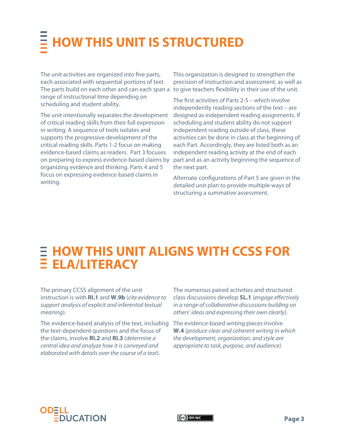## **HOW THIS UNIT IS STRUCTURED**

The unit activities are organized into five parts, each associated with sequential portions of text. The parts build on each other and can each span a to give teachers flexibility in their use of the unit. range of instructional time depending on scheduling and student ability.

The unit intentionally separates the development of critical reading skills from their full expression in writing. A sequence of tools isolates and supports the progressive development of the critical reading skills. Parts 1-2 focus on making evidence-based claims as readers. Part 3 focuses on preparing to express evidence-based claims by organizing evidence and thinking. Parts 4 and 5 focus on expressing evidence-based claims in writing.

This organization is designed to strengthen the precision of instruction and assessment, as well as

The first activities of Parts 2-5 – which involve independently reading sections of the text – are designed as independent reading assignments. If scheduling and student ability do not support independent reading outside of class, these activities can be done in class at the beginning of each Part. Accordingly, they are listed both as an independent reading activity at the end of each part and as an activity beginning the sequence of the next part.

Alternate configurations of Part 5 are given in the detailed unit plan to provide multiple ways of structuring a summative assessment.

### **HOW THIS UNIT ALIGNS WITH CCSS FOR ELA/LITERACY**

The primary CCSS alignment of the unit instruction is with **RI.1** and **W.9b** (cite evidence to support analysis of explicit and inferential textual meaning).

The evidence-based analysis of the text, including the text-dependent questions and the focus of the claims, involve **RI.2** and **RI.3** (determine a central idea and analyze how it is conveyed and elaborated with details over the course of a text).

The numerous paired activities and structured class discussions develop **SL.1** (engage effectively in a range of collaborative discussions building on others' ideas and expressing their own clearly).

The evidence-based writing pieces involve **W.4** (produce clear and coherent writing in which the development, organization, and style are appropriate to task, purpose, and audience).



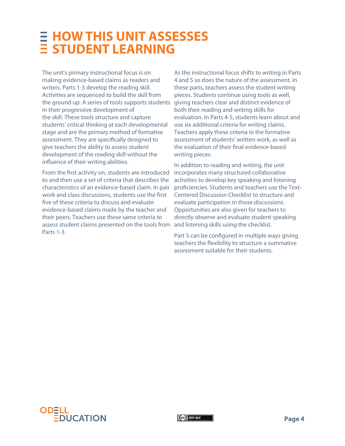### **HOW THIS UNIT ASSESSES STUDENT LEARNING**

The unit's primary instructional focus is on making evidence-based claims as readers and writers. Parts 1-3 develop the reading skill. Activities are sequenced to build the skill from the ground up. A series of tools supports students in their progressive development of the skill. These tools structure and capture students' critical thinking at each developmental stage and are the primary method of formative assessment. They are specifically designed to give teachers the ability to assess student development of the reading skill without the influence of their writing abilities.

From the first activity on, students are introduced to and then use a set of criteria that describes the characteristics of an evidence-based claim. In pair work and class discussions, students use the first five of these criteria to discuss and evaluate evidence-based claims made by the teacher and their peers. Teachers use these same criteria to assess student claims presented on the tools from Parts 1-3.

As the instructional focus shifts to writing in Parts 4 and 5 so does the nature of the assessment. In these parts, teachers assess the student writing pieces. Students continue using tools as well, giving teachers clear and distinct evidence of both their reading and writing skills for evaluation. In Parts 4-5, students learn about and use six additional criteria for writing claims. Teachers apply these criteria in the formative assessment of students' written work, as well as the evaluation of their final evidence-based writing pieces.

In addition to reading and writing, the unit incorporates many structured collaborative activities to develop key speaking and listening proficiencies. Students and teachers use the Text-Centered Discussion Checklist to structure and evaluate participation in those discussions. Opportunities are also given for teachers to directly observe and evaluate student speaking and listening skills using the checklist.

Part 5 can be configured in multiple ways giving teachers the flexibility to structure a summative assessment suitable for their students.

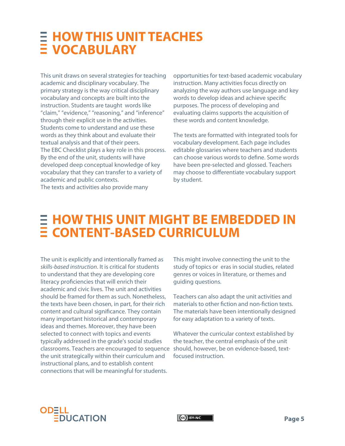### **HOW THIS UNIT TEACHES VOCABULARY**

This unit draws on several strategies for teaching academic and disciplinary vocabulary. The primary strategy is the way critical disciplinary vocabulary and concepts are built into the instruction. Students are taught words like "claim," "evidence," "reasoning," and "inference" through their explicit use in the activities. Students come to understand and use these words as they think about and evaluate their textual analysis and that of their peers. The EBC Checklist plays a key role in this process. By the end of the unit, students will have developed deep conceptual knowledge of key vocabulary that they can transfer to a variety of academic and public contexts. The texts and activities also provide many

opportunities for text-based academic vocabulary instruction. Many activities focus directly on analyzing the way authors use language and key words to develop ideas and achieve specific purposes. The process of developing and evaluating claims supports the acquisition of these words and content knowledge.

The texts are formatted with integrated tools for vocabulary development. Each page includes editable glossaries where teachers and students can choose various words to define. Some words have been pre-selected and glossed. Teachers may choose to differentiate vocabulary support by student.

### **HOW THIS UNIT MIGHT BE EMBEDDED IN CONTENT-BASED CURRICULUM**

The unit is explicitly and intentionally framed as skills-based instruction. It is critical for students to understand that they are developing core literacy proficiencies that will enrich their academic and civic lives. The unit and activities should be framed for them as such. Nonetheless, the texts have been chosen, in part, for their rich content and cultural significance. They contain many important historical and contemporary ideas and themes. Moreover, they have been selected to connect with topics and events typically addressed in the grade's social studies classrooms. Teachers are encouraged to sequence should, however, be on evidence-based, textthe unit strategically within their curriculum and instructional plans, and to establish content connections that will be meaningful for students.

This might involve connecting the unit to the study of topics or eras in social studies, related genres or voices in literature, or themes and guiding questions.

Teachers can also adapt the unit activities and materials to other fiction and non-fiction texts. The materials have been intentionally designed for easy adaptation to a variety of texts.

Whatever the curricular context established by the teacher, the central emphasis of the unit focused instruction.



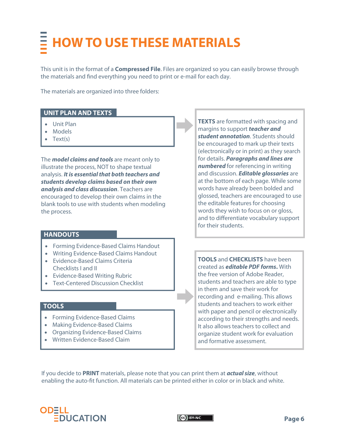## **HOW TO USE THESE MATERIALS**

This unit is in the format of a **Compressed File**. Files are organized so you can easily browse through the materials and find everything you need to print or e-mail for each day.

The materials are organized into three folders:

#### **UNIT PLAN AND TEXTS**

- Unit Plan
- Models
- Text(s)

The **model claims and tools** are meant only to illustrate the process, NOT to shape textual analysis. **It is essential that both teachers and students develop claims based on their own analysis and class discussion**. Teachers are encouraged to develop their own claims in the blank tools to use with students when modeling the process.

#### **HANDOUTS**

- Forming Evidence-Based Claims Handout
- Writing Evidence-Based Claims Handout
- Evidence-Based Claims Criteria Checklists I and II
- Evidence-Based Writing Rubric
- Text-Centered Discussion Checklist

#### **TOOLS**

- Forming Evidence-Based Claims
- Making Evidence-Based Claims
- Organizing Evidence-Based Claims
- Written Evidence-Based Claim

**TEXTS** are formatted with spacing and margins to support **teacher and student annotation**. Students should be encouraged to mark up their texts (electronically or in print) as they search for details. **Paragraphs and lines are numbered** for referencing in writing and discussion. **Editable glossaries** are at the bottom of each page. While some words have already been bolded and glossed, teachers are encouraged to use the editable features for choosing words they wish to focus on or gloss, and to differentiate vocabulary support for their students.

**TOOLS** and **CHECKLISTS** have been created as **editable PDF forms.** With the free version of Adobe Reader, students and teachers are able to type in them and save their work for recording and e-mailing. This allows students and teachers to work either with paper and pencil or electronically according to their strengths and needs. It also allows teachers to collect and organize student work for evaluation and formative assessment.

If you decide to **PRINT** materials, please note that you can print them at **actual size**, without enabling the auto-fit function. All materials can be printed either in color or in black and white.



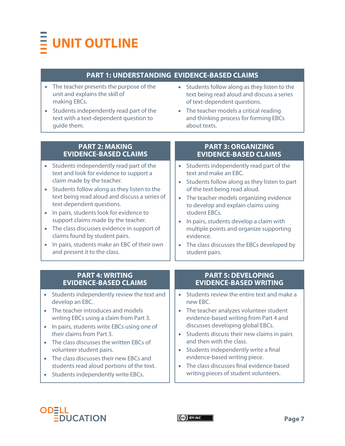## **UNIT OUTLINE**

#### **PART 1: UNDERSTANDING EVIDENCE-BASED CLAIMS**

- The teacher presents the purpose of the unit and explains the skill of making EBCs.
- Students independently read part of the text with a text-dependent question to guide them.
- Students follow along as they listen to the text being read aloud and discuss a series of text-dependent questions.
- The teacher models a critical reading and thinking process for forming EBCs about texts.

| <b>PART 2: MAKING</b><br><b>EVIDENCE-BASED CLAIMS</b>                                                                                                                                                                                                                                                                                                                                                                                                                                                                                 | <b>PART 3: ORGANIZING</b><br><b>EVIDENCE-BASED CLAIMS</b>                                                                                                                                                                                                                                                                                                                                                             |
|---------------------------------------------------------------------------------------------------------------------------------------------------------------------------------------------------------------------------------------------------------------------------------------------------------------------------------------------------------------------------------------------------------------------------------------------------------------------------------------------------------------------------------------|-----------------------------------------------------------------------------------------------------------------------------------------------------------------------------------------------------------------------------------------------------------------------------------------------------------------------------------------------------------------------------------------------------------------------|
| Students independently read part of the<br>text and look for evidence to support a<br>claim made by the teacher.<br>Students follow along as they listen to the<br>$\bullet$<br>text being read aloud and discuss a series of<br>text-dependent questions.<br>In pairs, students look for evidence to<br>$\bullet$<br>support claims made by the teacher.<br>The class discusses evidence in support of<br>$\bullet$<br>claims found by student pairs.<br>In pairs, students make an EBC of their own<br>and present it to the class. | Students independently read part of the<br>text and make an EBC.<br>Students follow along as they listen to part<br>of the text being read aloud.<br>The teacher models organizing evidence<br>to develop and explain claims using<br>student EBCs.<br>In pairs, students develop a claim with<br>multiple points and organize supporting<br>evidence.<br>The class discusses the EBCs developed by<br>student pairs. |
|                                                                                                                                                                                                                                                                                                                                                                                                                                                                                                                                       |                                                                                                                                                                                                                                                                                                                                                                                                                       |
|                                                                                                                                                                                                                                                                                                                                                                                                                                                                                                                                       |                                                                                                                                                                                                                                                                                                                                                                                                                       |
| <b>PART 4: WRITING</b><br><b>EVIDENCE-BASED CLAIMS</b>                                                                                                                                                                                                                                                                                                                                                                                                                                                                                | <b>PART 5: DEVELOPING</b><br><b>EVIDENCE-BASED WRITING</b>                                                                                                                                                                                                                                                                                                                                                            |
| Students independently review the text and<br>$\bullet$<br>develop an EBC.                                                                                                                                                                                                                                                                                                                                                                                                                                                            | Students review the entire text and make a<br>new EBC.                                                                                                                                                                                                                                                                                                                                                                |
| The teacher introduces and models<br>$\bullet$<br>writing EBCs using a claim from Part 3.                                                                                                                                                                                                                                                                                                                                                                                                                                             | The teacher analyzes volunteer student<br>evidence-based writing from Part 4 and                                                                                                                                                                                                                                                                                                                                      |
| In pairs, students write EBCs using one of<br>$\bullet$<br>their claims from Part 3.                                                                                                                                                                                                                                                                                                                                                                                                                                                  | discusses developing global EBCs.<br>Students discuss their new claims in pairs                                                                                                                                                                                                                                                                                                                                       |
| The class discusses the written EBCs of<br>$\bullet$<br>volunteer student pairs.                                                                                                                                                                                                                                                                                                                                                                                                                                                      | and then with the class.<br>Students independently write a final                                                                                                                                                                                                                                                                                                                                                      |
| The class discusses their new EBCs and<br>students read aloud portions of the text.                                                                                                                                                                                                                                                                                                                                                                                                                                                   | evidence-based writing piece.<br>The class discusses final evidence-based                                                                                                                                                                                                                                                                                                                                             |



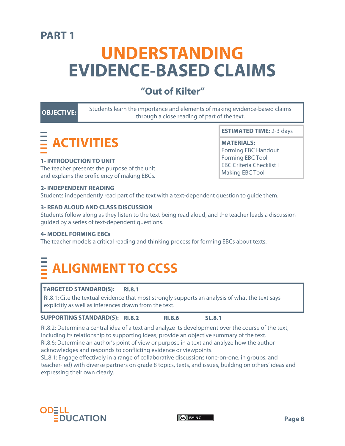### **PART 1**

### **UNDERSTANDING EVIDENCE-BASED CLAIMS**

### **"Out of Kilter"**

**OBJECTIVE:** Students learn the importance and elements of making evidence-based claims through a close reading of part of the text.

## **ACTIVITIES**

#### **1- INTRODUCTION TO UNIT**

The teacher presents the purpose of the unit and explains the proficiency of making EBCs.

**ESTIMATED TIME:** 2-3 days

#### **MATERIALS:**

Forming EBC Handout Forming EBC Tool EBC Criteria Checklist I Making EBC Tool

#### **2- INDEPENDENT READING**

Students independently read part of the text with a text-dependent question to guide them.

#### **3- READ ALOUD AND CLASS DISCUSSION**

Students follow along as they listen to the text being read aloud, and the teacher leads a discussion guided by a series of text-dependent questions.

#### **4- MODEL FORMING EBCs**

The teacher models a critical reading and thinking process for forming EBCs about texts.

### **ALIGNMENT TO CCSS**

#### **TARGETED STANDARD(S): RI.8.1**

RI.8.1: Cite the textual evidence that most strongly supports an analysis of what the text says explicitly as well as inferences drawn from the text.

#### **SUPPORTING STANDARD(S): RI.8.2 RI.8.6 SL.8.1**

RI.8.2: Determine a central idea of a text and analyze its development over the course of the text, including its relationship to supporting ideas; provide an objective summary of the text. RI.8.6: Determine an author's point of view or purpose in a text and analyze how the author acknowledges and responds to conflicting evidence or viewpoints.

SL.8.1: Engage effectively in a range of collaborative discussions (one-on-one, in groups, and teacher-led) with diverse partners on grade 8 topics, texts, and issues, building on others' ideas and expressing their own clearly.



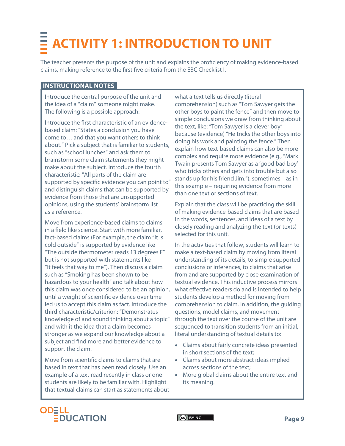## **ACTIVITY 1: INTRODUCTION TO UNIT**

The teacher presents the purpose of the unit and explains the proficiency of making evidence-based claims, making reference to the first five criteria from the EBC Checklist I.

#### **INSTRUCTIONAL NOTES**

Introduce the central purpose of the unit and the idea of a "claim" someone might make. The following is a possible approach:

Introduce the first characteristic of an evidencebased claim: "States a conclusion you have come to… and that you want others to think about." Pick a subject that is familiar to students, such as "school lunches" and ask them to brainstorm some claim statements they might make about the subject. Introduce the fourth characteristic: "All parts of the claim are supported by specific evidence you can point to" and distinguish claims that can be supported by evidence from those that are unsupported opinions, using the students' brainstorm list as a reference.

Move from experience-based claims to claims in a field like science. Start with more familiar, fact-based claims (For example, the claim "It is cold outside" is supported by evidence like "The outside thermometer reads 13 degrees F" but is not supported with statements like "It feels that way to me"). Then discuss a claim such as "Smoking has been shown to be hazardous to your health" and talk about how this claim was once considered to be an opinion, until a weight of scientific evidence over time led us to accept this claim as fact. Introduce the third characteristic/criterion: "Demonstrates knowledge of and sound thinking about a topic" and with it the idea that a claim becomes stronger as we expand our knowledge about a subject and find more and better evidence to support the claim.

Move from scientific claims to claims that are based in text that has been read closely. Use an example of a text read recently in class or one students are likely to be familiar with. Highlight that textual claims can start as statements about what a text tells us directly (literal comprehension) such as "Tom Sawyer gets the other boys to paint the fence" and then move to simple conclusions we draw from thinking about the text, like: "Tom Sawyer is a clever boy" because (evidence) "He tricks the other boys into doing his work and painting the fence." Then explain how text-based claims can also be more complex and require more evidence (e.g., "Mark Twain presents Tom Sawyer as a 'good bad boy' who tricks others and gets into trouble but also stands up for his friend Jim."), sometimes – as in this example – requiring evidence from more than one text or sections of text.

Explain that the class will be practicing the skill of making evidence-based claims that are based in the words, sentences, and ideas of a text by closely reading and analyzing the text (or texts) selected for this unit.

In the activities that follow, students will learn to make a text-based claim by moving from literal understanding of its details, to simple supported conclusions or inferences, to claims that arise from and are supported by close examination of textual evidence. This inductive process mirrors what effective readers do and is intended to help students develop a method for moving from comprehension to claim. In addition, the guiding questions, model claims, and movement through the text over the course of the unit are sequenced to transition students from an initial, literal understanding of textual details to:

- Claims about fairly concrete ideas presented in short sections of the text;
- Claims about more abstract ideas implied across sections of the text;
- More global claims about the entire text and its meaning.



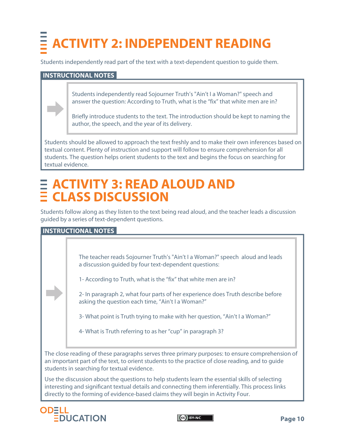## **ACTIVITY 2: INDEPENDENT READING**

Students independently read part of the text with a text-dependent question to guide them.

#### **INSTRUCTIONAL NOTES**

Students independently read Sojourner Truth's "Ain't I a Woman?" speech and answer the question: According to Truth, what is the "fix" that white men are in?

Briefly introduce students to the text. The introduction should be kept to naming the author, the speech, and the year of its delivery.

Students should be allowed to approach the text freshly and to make their own inferences based on textual content. Plenty of instruction and support will follow to ensure comprehension for all students. The question helps orient students to the text and begins the focus on searching for textual evidence.

### **ACTIVITY 3: READ ALOUD AND CLASS DISCUSSION**

Students follow along as they listen to the text being read aloud, and the teacher leads a discussion guided by a series of text-dependent questions.

#### **INSTRUCTIONAL NOTES**

The teacher reads Sojourner Truth's "Ain't I a Woman?" speech aloud and leads a discussion guided by four text-dependent questions:

1- According to Truth, what is the "fix" that white men are in?

2- In paragraph 2, what four parts of her experience does Truth describe before asking the question each time, "Ain't I a Woman?"

3- What point is Truth trying to make with her question, "Ain't I a Woman?"

4- What is Truth referring to as her "cup" in paragraph 3?

The close reading of these paragraphs serves three primary purposes: to ensure comprehension of an important part of the text, to orient students to the practice of close reading, and to guide students in searching for textual evidence.

Use the discussion about the questions to help students learn the essential skills of selecting interesting and significant textual details and connecting them inferentially. This process links directly to the forming of evidence-based claims they will begin in Activity Four.



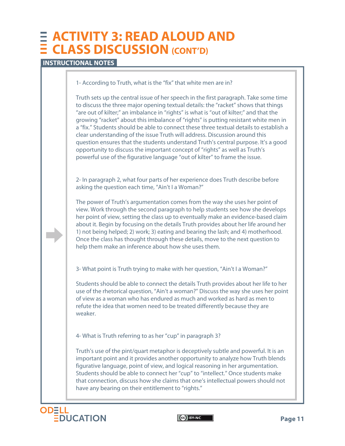### **ACTIVITY 3: READ ALOUD AND CLASS DISCUSSION (CONT'D)**

#### **INSTRUCTIONAL NOTES**

1- According to Truth, what is the "fix" that white men are in?

Truth sets up the central issue of her speech in the first paragraph. Take some time to discuss the three major opening textual details: the "racket" shows that things "are out of kilter;" an imbalance in "rights" is what is "out of kilter;" and that the growing "racket" about this imbalance of "rights" is putting resistant white men in a "fix." Students should be able to connect these three textual details to establish a clear understanding of the issue Truth will address. Discussion around this question ensures that the students understand Truth's central purpose. It's a good opportunity to discuss the important concept of "rights" as well as Truth's powerful use of the figurative language "out of kilter" to frame the issue.

2- In paragraph 2, what four parts of her experience does Truth describe before asking the question each time, "Ain't I a Woman?"

The power of Truth's argumentation comes from the way she uses her point of view. Work through the second paragraph to help students see how she develops her point of view, setting the class up to eventually make an evidence-based claim about it. Begin by focusing on the details Truth provides about her life around her 1) not being helped; 2) work; 3) eating and bearing the lash; and 4) motherhood. Once the class has thought through these details, move to the next question to help them make an inference about how she uses them.

3- What point is Truth trying to make with her question, "Ain't I a Woman?"

Students should be able to connect the details Truth provides about her life to her use of the rhetorical question, "Ain't a woman?" Discuss the way she uses her point of view as a woman who has endured as much and worked as hard as men to refute the idea that women need to be treated differently because they are weaker.

4- What is Truth referring to as her "cup" in paragraph 3?

Truth's use of the pint/quart metaphor is deceptively subtle and powerful. It is an important point and it provides another opportunity to analyze how Truth blends figurative language, point of view, and logical reasoning in her argumentation. Students should be able to connect her "cup" to "intellect." Once students make that connection, discuss how she claims that one's intellectual powers should not have any bearing on their entitlement to "rights."



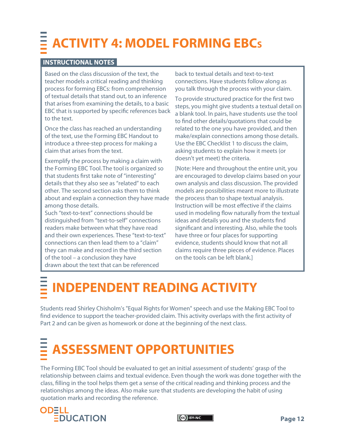## **ACTIVITY 4: MODEL FORMING EBC<sup>S</sup>**

#### **INSTRUCTIONAL NOTES**

Based on the class discussion of the text, the teacher models a critical reading and thinking process for forming EBCs: from comprehension of textual details that stand out, to an inference that arises from examining the details, to a basic EBC that is supported by specific references back to the text.

Once the class has reached an understanding of the text, use the Forming EBC Handout to introduce a three-step process for making a claim that arises from the text.

Exemplify the process by making a claim with the Forming EBC Tool.The tool is organized so that students first take note of "interesting" details that they also see as "related" to each other. The second section asks them to think about and explain a connection they have made among those details.

Such "text-to-text" connections should be distinguished from "text-to-self" connections readers make between what they have read and their own experiences. These "text-to-text" connections can then lead them to a "claim" they can make and record in the third section of the tool – a conclusion they have drawn about the text that can be referenced

back to textual details and text-to-text connections. Have students follow along as you talk through the process with your claim.

To provide structured practice for the first two steps, you might give students a textual detail on a blank tool. In pairs, have students use the tool to find other details/quotations that could be related to the one you have provided, and then make/explain connections among those details. Use the EBC Checklist 1 to discuss the claim, asking students to explain how it meets (or doesn't yet meet) the criteria.

[Note: Here and throughout the entire unit, you are encouraged to develop claims based on your own analysis and class discussion. The provided models are possibilities meant more to illustrate the process than to shape textual analysis. Instruction will be most effective if the claims used in modeling flow naturally from the textual ideas and details you and the students find significant and interesting. Also, while the tools have three or four places for supporting evidence, students should know that not all claims require three pieces of evidence. Places on the tools can be left blank.]

## **INDEPENDENT READING ACTIVITY**

Students read Shirley Chisholm's "Equal Rights for Women" speech and use the Making EBC Tool to find evidence to support the teacher-provided claim. This activity overlaps with the first activity of Part 2 and can be given as homework or done at the beginning of the next class.

## **ASSESSMENT OPPORTUNITIES**

The Forming EBC Tool should be evaluated to get an initial assessment of students' grasp of the relationship between claims and textual evidence. Even though the work was done together with the class, filling in the tool helps them get a sense of the critical reading and thinking process and the relationships among the ideas. Also make sure that students are developing the habit of using quotation marks and recording the reference.



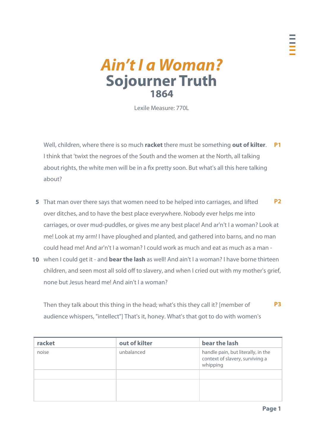### **Ain't I a Woman? Sojourner Truth 1864**

Lexile Measure: 770L

Well, children, where there is so much **racket** there must be something **out of kilter**. **P1**  I think that 'twixt the negroes of the South and the women at the North, all talking about rights, the white men will be in a fix pretty soon. But what's all this here talking about?

- That man over there says that women need to be helped into carriages, and lifted **5**  over ditches, and to have the best place everywhere. Nobody ever helps me into carriages, or over mud-puddles, or gives me any best place! And ar'n't I a woman? Look at me! Look at my arm! I have ploughed and planted, and gathered into barns, and no man could head me! And ar'n't I a woman? I could work as much and eat as much as a man - **P2**
- when I could get it and **bear the lash** as well! And ain't I a woman? I have borne thirteen **10**  children, and seen most all sold off to slavery, and when I cried out with my mother's grief, none but Jesus heard me! And ain't I a woman?

Then they talk about this thing in the head; what's this they call it? [member of audience whispers, "intellect"] That's it, honey. What's that got to do with women's **P3** 

| racket | out of kilter | bear the lash                                                                     |
|--------|---------------|-----------------------------------------------------------------------------------|
| noise  | unbalanced    | handle pain, but literally, in the<br>context of slavery, surviving a<br>whipping |
|        |               |                                                                                   |
|        |               |                                                                                   |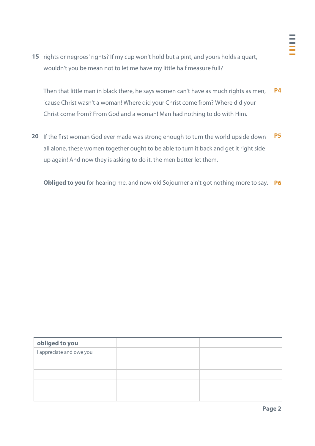15 rights or negroes' rights? If my cup won't hold but a pint, and yours holds a quart, wouldn't you be mean not to let me have my little half measure full?

Then that little man in black there, he says women can't have as much rights as men, 'cause Christ wasn't a woman! Where did your Christ come from? Where did your Christ come from? From God and a woman! Man had nothing to do with Him. **P4** 

20 If the first woman God ever made was strong enough to turn the world upside down all alone, these women together ought to be able to turn it back and get it right side up again! And now they is asking to do it, the men better let them. **P5** 

**Obliged to you** for hearing me, and now old Sojourner ain't got nothing more to say. **P6** 

| obliged to you           |  |
|--------------------------|--|
| I appreciate and owe you |  |
|                          |  |
|                          |  |
|                          |  |
|                          |  |
|                          |  |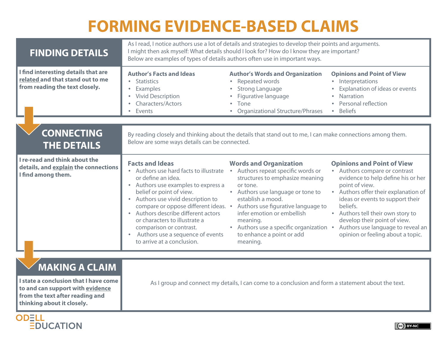### **FORMING EVIDENCE-BASED CLAIMS**

| I find interesting details that are                                                                                                                                 |                                                                                                                                                                                                                                                                                                                                                                                                                                                 | As I read, I notice authors use a lot of details and strategies to develop their points and arguments.<br>I might then ask myself: What details should I look for? How do I know they are important?<br>Below are examples of types of details authors often use in important ways.                        |                                                                                                                                                                                                                                                                                                                                                                   |  |  |  |
|---------------------------------------------------------------------------------------------------------------------------------------------------------------------|-------------------------------------------------------------------------------------------------------------------------------------------------------------------------------------------------------------------------------------------------------------------------------------------------------------------------------------------------------------------------------------------------------------------------------------------------|------------------------------------------------------------------------------------------------------------------------------------------------------------------------------------------------------------------------------------------------------------------------------------------------------------|-------------------------------------------------------------------------------------------------------------------------------------------------------------------------------------------------------------------------------------------------------------------------------------------------------------------------------------------------------------------|--|--|--|
| related and that stand out to me<br>from reading the text closely.                                                                                                  | <b>Author's Facts and Ideas</b><br>• Statistics<br>Examples<br>$\bullet$<br><b>Vivid Description</b><br>$\bullet$<br>Characters/Actors<br>$\bullet$<br>Events<br>$\bullet$                                                                                                                                                                                                                                                                      | <b>Author's Words and Organization</b><br>Repeated words<br>$\bullet$<br><b>Strong Language</b><br>Figurative language<br>Tone<br><b>Organizational Structure/Phrases</b>                                                                                                                                  | <b>Opinions and Point of View</b><br>• Interpretations<br>Explanation of ideas or events<br>Narration<br>Personal reflection<br><b>Beliefs</b>                                                                                                                                                                                                                    |  |  |  |
| <b>CONNECTING</b><br><b>THE DETAILS</b>                                                                                                                             | Below are some ways details can be connected.                                                                                                                                                                                                                                                                                                                                                                                                   | By reading closely and thinking about the details that stand out to me, I can make connections among them.                                                                                                                                                                                                 |                                                                                                                                                                                                                                                                                                                                                                   |  |  |  |
| I re-read and think about the<br>details, and explain the connections<br>I find among them.                                                                         | <b>Facts and Ideas</b><br>• Authors use hard facts to illustrate . Authors repeat specific words or<br>or define an idea.<br>• Authors use examples to express a<br>belief or point of view.<br>• Authors use vivid description to<br>compare or oppose different ideas. •<br>• Authors describe different actors<br>or characters to illustrate a<br>comparison or contrast.<br>Authors use a sequence of events<br>to arrive at a conclusion. | <b>Words and Organization</b><br>structures to emphasize meaning<br>or tone.<br>• Authors use language or tone to<br>establish a mood.<br>Authors use figurative language to<br>infer emotion or embellish<br>meaning.<br>• Authors use a specific organization •<br>to enhance a point or add<br>meaning. | <b>Opinions and Point of View</b><br>• Authors compare or contrast<br>evidence to help define his or her<br>point of view.<br>• Authors offer their explanation of<br>ideas or events to support their<br>beliefs.<br>• Authors tell their own story to<br>develop their point of view.<br>Authors use language to reveal an<br>opinion or feeling about a topic. |  |  |  |
| <b>MAKING A CLAIM</b><br>I state a conclusion that I have come<br>to and can support with evidence<br>from the text after reading and<br>thinking about it closely. | As I group and connect my details, I can come to a conclusion and form a statement about the text.                                                                                                                                                                                                                                                                                                                                              |                                                                                                                                                                                                                                                                                                            |                                                                                                                                                                                                                                                                                                                                                                   |  |  |  |

DUCATION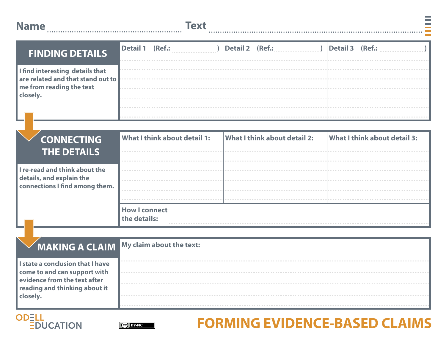| <b>Name</b> | <b>Text</b> |
|-------------|-------------|
|             |             |

| <b>FINDING DETAILS</b>                                                      | Detail 1 (Ref.: |  | Detail 2 (Ref.: |  | Detail 3 (Ref.: |  |
|-----------------------------------------------------------------------------|-----------------|--|-----------------|--|-----------------|--|
| I find interesting details that<br>are <b>related</b> and that stand out to |                 |  |                 |  |                 |  |
| me from reading the text<br>closely.                                        |                 |  |                 |  |                 |  |
|                                                                             |                 |  |                 |  |                 |  |

| <b>CONNECTING</b>                                                 | What I think about detail 1: | What I think about detail 2: | <b>What I think about detail 3:</b> |
|-------------------------------------------------------------------|------------------------------|------------------------------|-------------------------------------|
| <b>THE DETAILS!</b>                                               |                              |                              |                                     |
| I re-read and think about the                                     | .                            |                              |                                     |
| details, and <u>explain</u> the<br>connections I find among them. |                              |                              |                                     |
|                                                                   |                              |                              |                                     |
|                                                                   | <b>How I connect</b>         |                              |                                     |
|                                                                   |                              |                              |                                     |

### **MAKING A CLAIM My claim about the text:**

**I state a conclusion that I have come to and can support with evidence from the text after reading and thinking about it closely.** 





## **ODELL EXECUTE OF LAIMS** FORMING EVIDENCE-BASED CLAIMS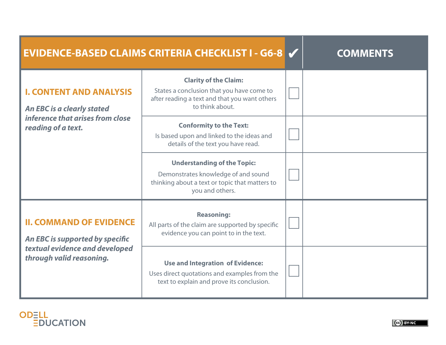|                                                                     | <b>EVIDENCE-BASED CLAIMS CRITERIA CHECKLIST I - G6-8 V</b>                                                                                     | <b>COMMENTS</b> |
|---------------------------------------------------------------------|------------------------------------------------------------------------------------------------------------------------------------------------|-----------------|
| <b>I. CONTENT AND ANALYSIS</b><br><b>An EBC is a clearly stated</b> | <b>Clarity of the Claim:</b><br>States a conclusion that you have come to<br>after reading a text and that you want others<br>to think about.  |                 |
| inference that arises from close<br>reading of a text.              | <b>Conformity to the Text:</b><br>Is based upon and linked to the ideas and<br>details of the text you have read.                              |                 |
|                                                                     | <b>Understanding of the Topic:</b><br>Demonstrates knowledge of and sound<br>thinking about a text or topic that matters to<br>you and others. |                 |
| <b>II. COMMAND OF EVIDENCE</b><br>An EBC is supported by specific   | <b>Reasoning:</b><br>All parts of the claim are supported by specific<br>evidence you can point to in the text.                                |                 |
| textual evidence and developed<br>through valid reasoning.          | <b>Use and Integration of Evidence:</b><br>Uses direct quotations and examples from the<br>text to explain and prove its conclusion.           |                 |

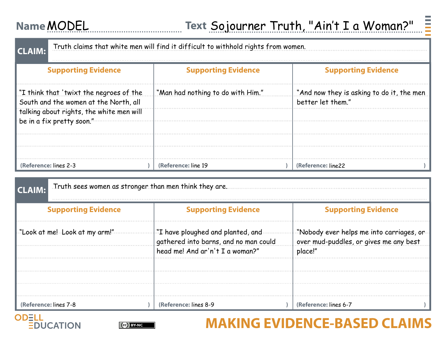### **Name Text** MODEL

| Truth claims that white men will find it difficult to withhold rights from women.<br><b>CLAIM:</b> |                                   |  |                                                                |  |
|----------------------------------------------------------------------------------------------------|-----------------------------------|--|----------------------------------------------------------------|--|
| <b>Supporting Evidence</b>                                                                         | <b>Supporting Evidence</b>        |  | <b>Supporting Evidence</b>                                     |  |
| "I think that 'twixt the negroes of the<br>South and the women at the North, all                   | "Man had nothing to do with Him." |  | "And now they is asking to do it, the men<br>better let them." |  |
| talking about rights, the white men will<br>be in a fix pretty soon."                              |                                   |  |                                                                |  |
|                                                                                                    |                                   |  |                                                                |  |
| (Reference: lines 2-3                                                                              | (Reference: line 19)              |  | (Reference: line22)                                            |  |

| Truth sees women as stronger than men think they are.<br><b>CLAIM:</b> |                                                                                                                          |                                                                                   |  |
|------------------------------------------------------------------------|--------------------------------------------------------------------------------------------------------------------------|-----------------------------------------------------------------------------------|--|
| <b>Supporting Evidence</b>                                             | <b>Supporting Evidence</b>                                                                                               | <b>Supporting Evidence</b>                                                        |  |
| "Look at me! Look at my arm!"                                          | $\begin{array}{l} \text{``I have ploughed and planted, and} \\ \text{gathered into barns, and no man could} \end{array}$ | Nobody ever helps me into carriages, or<br>over mud-puddles, or gives me any best |  |
|                                                                        | head me! And ar'n't I a woman?"                                                                                          | place!"                                                                           |  |
|                                                                        |                                                                                                                          |                                                                                   |  |
|                                                                        |                                                                                                                          |                                                                                   |  |
| (Reference: lines 7-8                                                  | (Reference: lines 8-9                                                                                                    | (Reference: lines 6-7                                                             |  |





### **ODELL EXECUTION CONSUMER CONSUMING EVIDENCE-BASED CLAIMS**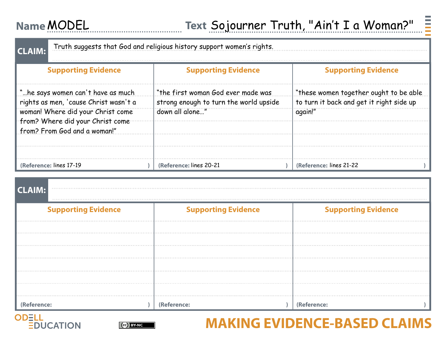### **Name Text** MODEL

| Truth suggests that God and religious history support women's rights.<br><b>CLAIM:</b>                                                                                              |                                                                                                 |                                                                                                |  |  |
|-------------------------------------------------------------------------------------------------------------------------------------------------------------------------------------|-------------------------------------------------------------------------------------------------|------------------------------------------------------------------------------------------------|--|--|
| <b>Supporting Evidence</b>                                                                                                                                                          | <b>Supporting Evidence</b>                                                                      | <b>Supporting Evidence</b>                                                                     |  |  |
| "he says women can't have as much<br>rights as men, 'cause Christ wasn't a<br>woman! Where did your Christ come<br>from? Where did your Christ come<br>from? From God and a woman!" | "the first woman God ever made was<br>strong enough to turn the world upside<br>down all alone" | "these women together ought to be able"<br>to turn it back and get it right side up<br>again!" |  |  |
| (Reference: lines 17-19)                                                                                                                                                            | (Reference: lines 20-21                                                                         | (Reference: lines 21-22)                                                                       |  |  |

# **(Reference: ) (Reference: ) (Reference: ) CLAIM: Supporting Evidence Supporting Evidence Cupporting Evidence Supporting Evidence**





### **ODELL BUCATION GENERAL MAKING EVIDENCE-BASED CLAIMS**